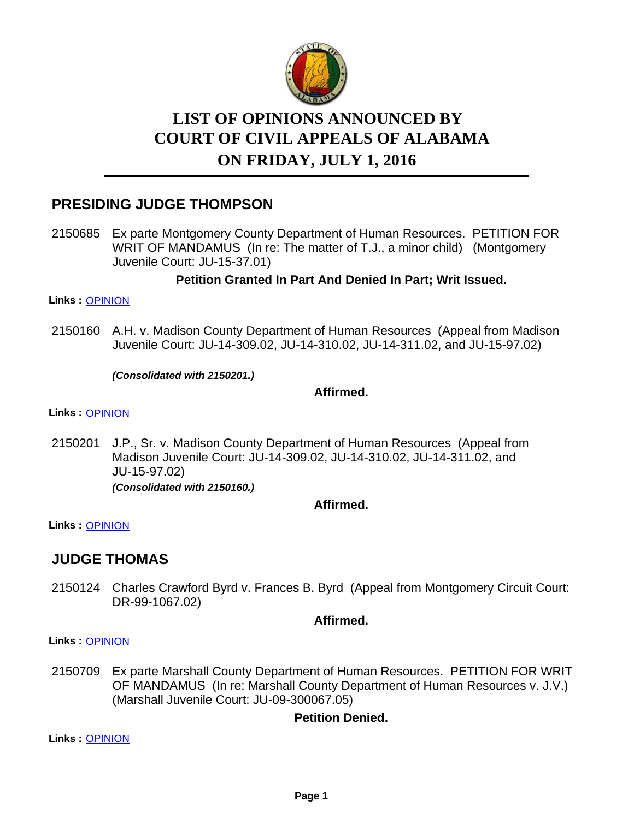

# **LIST OF OPINIONS ANNOUNCED BY ON FRIDAY, JULY 1, 2016 COURT OF CIVIL APPEALS OF ALABAMA**

# **PRESIDING JUDGE THOMPSON**

2150685 Ex parte Montgomery County Department of Human Resources. PETITION FOR WRIT OF MANDAMUS (In re: The matter of T.J., a minor child) (Montgomery Juvenile Court: JU-15-37.01)

#### **Petition Granted In Part And Denied In Part; Writ Issued.**

#### **Links :** [OPINION](https://acis.alabama.gov/displaydocs.cfm?no=745741&event=4O70L5C8N)

2150160 A.H. v. Madison County Department of Human Resources (Appeal from Madison Juvenile Court: JU-14-309.02, JU-14-310.02, JU-14-311.02, and JU-15-97.02)

*(Consolidated with 2150201.)*

#### **Affirmed.**

**Links :** [OPINION](https://acis.alabama.gov/displaydocs.cfm?no=745738&event=4O70L5AXU)

2150201 J.P., Sr. v. Madison County Department of Human Resources (Appeal from Madison Juvenile Court: JU-14-309.02, JU-14-310.02, JU-14-311.02, and JU-15-97.02) *(Consolidated with 2150160.)*

**Affirmed.**

**Links :** [OPINION](https://acis.alabama.gov/displaydocs.cfm?no=745738&event=4O70L5AXU)

### **JUDGE THOMAS**

2150124 Charles Crawford Byrd v. Frances B. Byrd (Appeal from Montgomery Circuit Court: DR-99-1067.02)

#### **Affirmed.**

**Links :** [OPINION](https://acis.alabama.gov/displaydocs.cfm?no=745737&event=4O70L5AQX)

2150709 Ex parte Marshall County Department of Human Resources. PETITION FOR WRIT OF MANDAMUS (In re: Marshall County Department of Human Resources v. J.V.) (Marshall Juvenile Court: JU-09-300067.05)

#### **Petition Denied.**

**Links :** [OPINION](https://acis.alabama.gov/displaydocs.cfm?no=745742&event=4O70L5CF4)